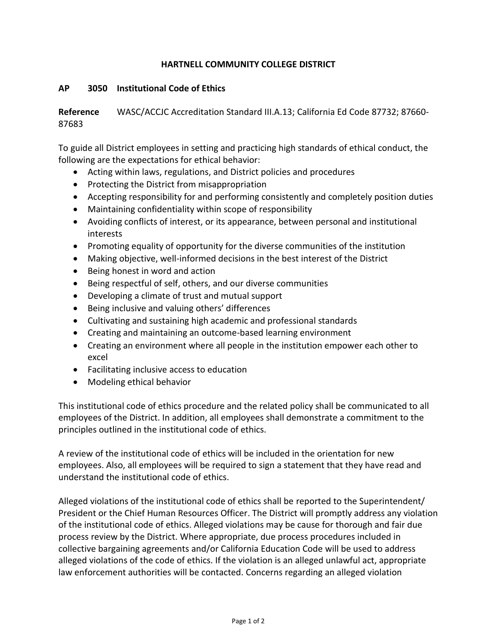## **HARTNELL COMMUNITY COLLEGE DISTRICT**

## **AP 3050 Institutional Code of Ethics**

**Reference** WASC/ACCJC Accreditation Standard III.A.13; California Ed Code 87732; 87660- 87683

To guide all District employees in setting and practicing high standards of ethical conduct, the following are the expectations for ethical behavior:

- Acting within laws, regulations, and District policies and procedures
- Protecting the District from misappropriation
- Accepting responsibility for and performing consistently and completely position duties
- Maintaining confidentiality within scope of responsibility
- Avoiding conflicts of interest, or its appearance, between personal and institutional interests
- Promoting equality of opportunity for the diverse communities of the institution
- Making objective, well-informed decisions in the best interest of the District
- Being honest in word and action
- Being respectful of self, others, and our diverse communities
- Developing a climate of trust and mutual support
- Being inclusive and valuing others' differences
- Cultivating and sustaining high academic and professional standards
- Creating and maintaining an outcome-based learning environment
- Creating an environment where all people in the institution empower each other to excel
- Facilitating inclusive access to education
- Modeling ethical behavior

This institutional code of ethics procedure and the related policy shall be communicated to all employees of the District. In addition, all employees shall demonstrate a commitment to the principles outlined in the institutional code of ethics.

A review of the institutional code of ethics will be included in the orientation for new employees. Also, all employees will be required to sign a statement that they have read and understand the institutional code of ethics.

Alleged violations of the institutional code of ethics shall be reported to the Superintendent/ President or the Chief Human Resources Officer. The District will promptly address any violation of the institutional code of ethics. Alleged violations may be cause for thorough and fair due process review by the District. Where appropriate, due process procedures included in collective bargaining agreements and/or California Education Code will be used to address alleged violations of the code of ethics. If the violation is an alleged unlawful act, appropriate law enforcement authorities will be contacted. Concerns regarding an alleged violation